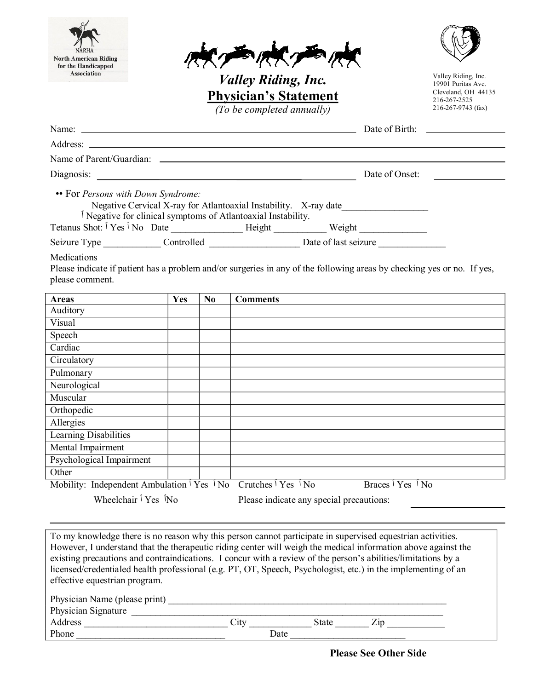| <b>North American Riding</b>                                                                                             |     |                | <b>BORK THAN</b>                                                                                                                                                                                                               |                                    |                                           |
|--------------------------------------------------------------------------------------------------------------------------|-----|----------------|--------------------------------------------------------------------------------------------------------------------------------------------------------------------------------------------------------------------------------|------------------------------------|-------------------------------------------|
| for the Handicapped<br>Association                                                                                       |     |                |                                                                                                                                                                                                                                |                                    | Valley Riding, Inc.                       |
|                                                                                                                          |     |                | <i>Valley Riding, Inc.</i><br><b>Physician's Statement</b>                                                                                                                                                                     |                                    | 19901 Puritas Ave.<br>Cleveland, OH 44135 |
|                                                                                                                          |     |                | (To be completed annually)                                                                                                                                                                                                     |                                    | 216-267-2525<br>216-267-9743 (fax)        |
|                                                                                                                          |     |                | Name: <u>Date of Birth:</u>                                                                                                                                                                                                    |                                    |                                           |
|                                                                                                                          |     |                |                                                                                                                                                                                                                                |                                    |                                           |
|                                                                                                                          |     |                |                                                                                                                                                                                                                                |                                    |                                           |
|                                                                                                                          |     |                |                                                                                                                                                                                                                                |                                    | Date of Onset:                            |
|                                                                                                                          |     |                | Negative Cervical X-ray for Atlantoaxial Instability. X-ray date<br><sup>1</sup> Negative for clinical symptoms of Atlantoaxial Instability.                                                                                   |                                    |                                           |
|                                                                                                                          |     |                |                                                                                                                                                                                                                                |                                    |                                           |
| Medications                                                                                                              |     |                | Seizure Type _______________Controlled _________________________Date of last seizure _______________<br>Please indicate if patient has a problem and/or surgeries in any of the following areas by checking yes or no. If yes, |                                    |                                           |
| please comment.                                                                                                          |     |                |                                                                                                                                                                                                                                |                                    |                                           |
| <b>Areas</b><br>Auditory                                                                                                 | Yes | N <sub>0</sub> | <b>Comments</b>                                                                                                                                                                                                                |                                    |                                           |
| Visual                                                                                                                   |     |                |                                                                                                                                                                                                                                |                                    |                                           |
| Speech                                                                                                                   |     |                |                                                                                                                                                                                                                                |                                    |                                           |
| Cardiac                                                                                                                  |     |                |                                                                                                                                                                                                                                |                                    |                                           |
| Circulatory                                                                                                              |     |                |                                                                                                                                                                                                                                |                                    |                                           |
| Pulmonary                                                                                                                |     |                |                                                                                                                                                                                                                                |                                    |                                           |
| Neurological                                                                                                             |     |                |                                                                                                                                                                                                                                |                                    |                                           |
| Muscular                                                                                                                 |     |                |                                                                                                                                                                                                                                |                                    |                                           |
| Orthopedic                                                                                                               |     |                |                                                                                                                                                                                                                                |                                    |                                           |
| Allergies                                                                                                                |     |                |                                                                                                                                                                                                                                |                                    |                                           |
| <b>Learning Disabilities</b>                                                                                             |     |                |                                                                                                                                                                                                                                |                                    |                                           |
| Mental Impairment                                                                                                        |     |                |                                                                                                                                                                                                                                |                                    |                                           |
| Psychological Impairment                                                                                                 |     |                |                                                                                                                                                                                                                                |                                    |                                           |
| Other                                                                                                                    |     |                |                                                                                                                                                                                                                                |                                    |                                           |
| Mobility: Independent Ambulation $\hat{V}$ Yes $\hat{V}$ No<br>Wheelchair <sup><i>i</i></sup> Yes <sup><i>i</i></sup> No |     |                | Crutches $\sqrt[5]{1}$ Yes $\sqrt[5]{1}$ No<br>Please indicate any special precautions:                                                                                                                                        | Braces $\sqrt{Y}$ Yes $\sqrt{N_0}$ |                                           |

However, I understand that the therapeutic riding center will weigh the medical information above against the existing precautions and contraindications. I concur with a review of the person's abilities/limitations by a licensed/credentialed health professional (e.g. PT, OT, Speech, Psychologist, etc.) in the implementing of an effective equestrian program.

| Physician Name (please print) |      |       |  |
|-------------------------------|------|-------|--|
| Physician Signature           |      |       |  |
| Address                       | Lity | State |  |
| Phone                         | Date |       |  |